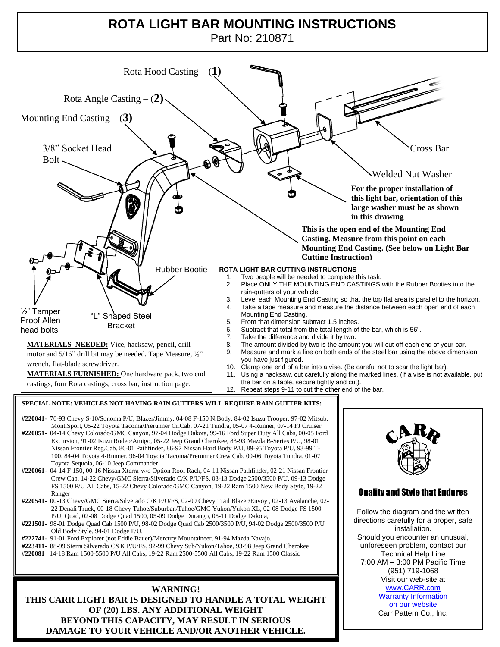## **ROTA LIGHT BAR MOUNTING INSTRUCTIONS**

Part No: 210871